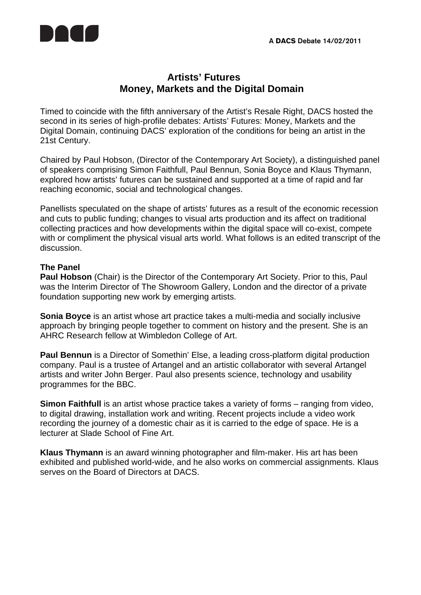

## **Artists' Futures Money, Markets and the Digital Domain**

Timed to coincide with the fifth anniversary of the Artist's Resale Right, DACS hosted the second in its series of high-profile debates: Artists' Futures: Money, Markets and the Digital Domain, continuing DACS' exploration of the conditions for being an artist in the 21st Century.

Chaired by Paul Hobson, (Director of the Contemporary Art Society), a distinguished panel of speakers comprising Simon Faithfull, Paul Bennun, Sonia Boyce and Klaus Thymann, explored how artists' futures can be sustained and supported at a time of rapid and far reaching economic, social and technological changes.

Panellists speculated on the shape of artists' futures as a result of the economic recession and cuts to public funding; changes to visual arts production and its affect on traditional collecting practices and how developments within the digital space will co-exist, compete with or compliment the physical visual arts world. What follows is an edited transcript of the discussion.

## **The Panel**

**Paul Hobson** (Chair) is the Director of the Contemporary Art Society. Prior to this, Paul was the Interim Director of The Showroom Gallery, London and the director of a private foundation supporting new work by emerging artists.

**Sonia Boyce** is an artist whose art practice takes a multi-media and socially inclusive approach by bringing people together to comment on history and the present. She is an AHRC Research fellow at Wimbledon College of Art.

**Paul Bennun** is a Director of Somethin' Else, a leading cross-platform digital production company. Paul is a trustee of Artangel and an artistic collaborator with several Artangel artists and writer John Berger. Paul also presents science, technology and usability programmes for the BBC.

**Simon Faithfull** is an artist whose practice takes a variety of forms – ranging from video, to digital drawing, installation work and writing. Recent projects include a video work recording the journey of a domestic chair as it is carried to the edge of space. He is a lecturer at Slade School of Fine Art.

**Klaus Thymann** is an award winning photographer and film-maker. His art has been exhibited and published world-wide, and he also works on commercial assignments. Klaus serves on the Board of Directors at DACS.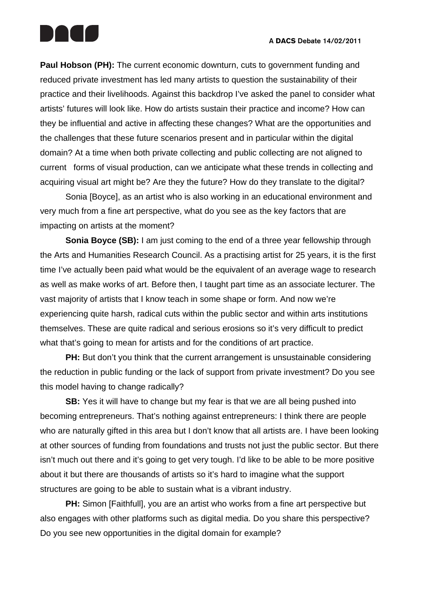

**Paul Hobson (PH):** The current economic downturn, cuts to government funding and reduced private investment has led many artists to question the sustainability of their practice and their livelihoods. Against this backdrop I've asked the panel to consider what artists' futures will look like. How do artists sustain their practice and income? How can they be influential and active in affecting these changes? What are the opportunities and the challenges that these future scenarios present and in particular within the digital domain? At a time when both private collecting and public collecting are not aligned to current forms of visual production, can we anticipate what these trends in collecting and acquiring visual art might be? Are they the future? How do they translate to the digital?

Sonia [Boyce], as an artist who is also working in an educational environment and very much from a fine art perspective, what do you see as the key factors that are impacting on artists at the moment?

**Sonia Boyce (SB):** I am just coming to the end of a three year fellowship through the Arts and Humanities Research Council. As a practising artist for 25 years, it is the first time I've actually been paid what would be the equivalent of an average wage to research as well as make works of art. Before then, I taught part time as an associate lecturer. The vast majority of artists that I know teach in some shape or form. And now we're experiencing quite harsh, radical cuts within the public sector and within arts institutions themselves. These are quite radical and serious erosions so it's very difficult to predict what that's going to mean for artists and for the conditions of art practice.

**PH:** But don't you think that the current arrangement is unsustainable considering the reduction in public funding or the lack of support from private investment? Do you see this model having to change radically?

**SB:** Yes it will have to change but my fear is that we are all being pushed into becoming entrepreneurs. That's nothing against entrepreneurs: I think there are people who are naturally gifted in this area but I don't know that all artists are. I have been looking at other sources of funding from foundations and trusts not just the public sector. But there isn't much out there and it's going to get very tough. I'd like to be able to be more positive about it but there are thousands of artists so it's hard to imagine what the support structures are going to be able to sustain what is a vibrant industry.

**PH:** Simon [Faithfull], you are an artist who works from a fine art perspective but also engages with other platforms such as digital media. Do you share this perspective? Do you see new opportunities in the digital domain for example?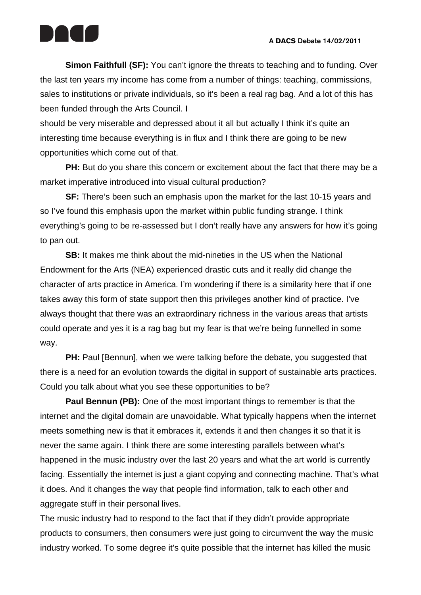

**Simon Faithfull (SF):** You can't ignore the threats to teaching and to funding. Over the last ten years my income has come from a number of things: teaching, commissions, sales to institutions or private individuals, so it's been a real rag bag. And a lot of this has been funded through the Arts Council. I

should be very miserable and depressed about it all but actually I think it's quite an interesting time because everything is in flux and I think there are going to be new opportunities which come out of that.

**PH:** But do you share this concern or excitement about the fact that there may be a market imperative introduced into visual cultural production?

**SF:** There's been such an emphasis upon the market for the last 10-15 years and so I've found this emphasis upon the market within public funding strange. I think everything's going to be re-assessed but I don't really have any answers for how it's going to pan out.

**SB:** It makes me think about the mid-nineties in the US when the National Endowment for the Arts (NEA) experienced drastic cuts and it really did change the character of arts practice in America. I'm wondering if there is a similarity here that if one takes away this form of state support then this privileges another kind of practice. I've always thought that there was an extraordinary richness in the various areas that artists could operate and yes it is a rag bag but my fear is that we're being funnelled in some way.

**PH:** Paul [Bennun], when we were talking before the debate, you suggested that there is a need for an evolution towards the digital in support of sustainable arts practices. Could you talk about what you see these opportunities to be?

**Paul Bennun (PB):** One of the most important things to remember is that the internet and the digital domain are unavoidable. What typically happens when the internet meets something new is that it embraces it, extends it and then changes it so that it is never the same again. I think there are some interesting parallels between what's happened in the music industry over the last 20 years and what the art world is currently facing. Essentially the internet is just a giant copying and connecting machine. That's what it does. And it changes the way that people find information, talk to each other and aggregate stuff in their personal lives.

The music industry had to respond to the fact that if they didn't provide appropriate products to consumers, then consumers were just going to circumvent the way the music industry worked. To some degree it's quite possible that the internet has killed the music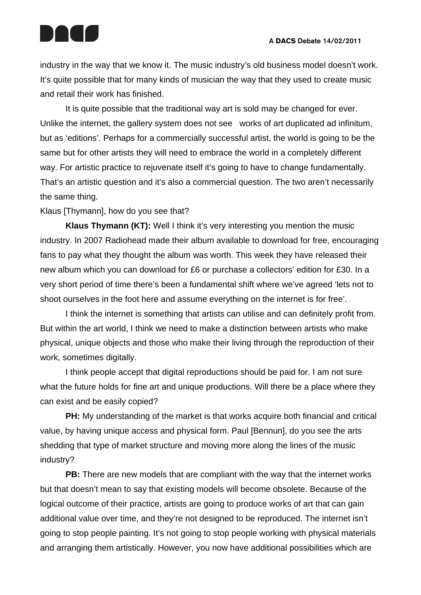



industry in the way that we know it. The music industry's old business model doesn't work. It's quite possible that for many kinds of musician the way that they used to create music and retail their work has finished.

It is quite possible that the traditional way art is sold may be changed for ever. Unlike the internet, the gallery system does not see works of art duplicated ad infinitum, but as 'editions'. Perhaps for a commercially successful artist, the world is going to be the same but for other artists they will need to embrace the world in a completely different way. For artistic practice to rejuvenate itself it's going to have to change fundamentally. That's an artistic question and it's also a commercial question. The two aren't necessarily the same thing.

Klaus [Thymann], how do you see that?

**Klaus Thymann (KT):** Well I think it's very interesting you mention the music industry. In 2007 Radiohead made their album available to download for free, encouraging fans to pay what they thought the album was worth. This week they have released their new album which you can download for £6 or purchase a collectors' edition for £30. In a very short period of time there's been a fundamental shift where we've agreed 'lets not to shoot ourselves in the foot here and assume everything on the internet is for free'.

I think the internet is something that artists can utilise and can definitely profit from. But within the art world, I think we need to make a distinction between artists who make physical, unique objects and those who make their living through the reproduction of their work, sometimes digitally.

I think people accept that digital reproductions should be paid for. I am not sure what the future holds for fine art and unique productions. Will there be a place where they can exist and be easily copied?

**PH:** My understanding of the market is that works acquire both financial and critical value, by having unique access and physical form. Paul [Bennun], do you see the arts shedding that type of market structure and moving more along the lines of the music industry?

**PB:** There are new models that are compliant with the way that the internet works but that doesn't mean to say that existing models will become obsolete. Because of the logical outcome of their practice, artists are going to produce works of art that can gain additional value over time, and they're not designed to be reproduced. The internet isn't going to stop people painting. It's not going to stop people working with physical materials and arranging them artistically. However, you now have additional possibilities which are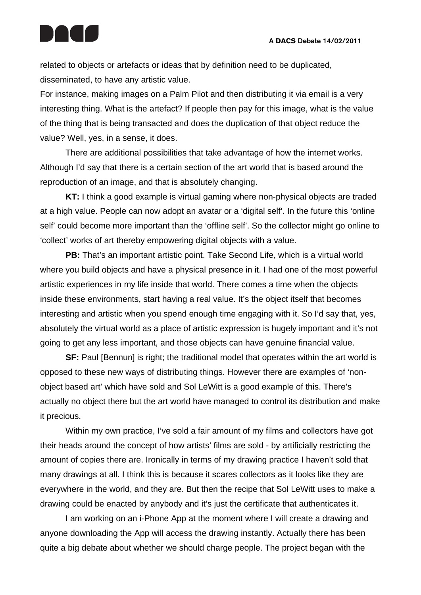

related to objects or artefacts or ideas that by definition need to be duplicated, disseminated, to have any artistic value.

For instance, making images on a Palm Pilot and then distributing it via email is a very interesting thing. What is the artefact? If people then pay for this image, what is the value of the thing that is being transacted and does the duplication of that object reduce the value? Well, yes, in a sense, it does.

There are additional possibilities that take advantage of how the internet works. Although I'd say that there is a certain section of the art world that is based around the reproduction of an image, and that is absolutely changing.

**KT:** I think a good example is virtual gaming where non-physical objects are traded at a high value. People can now adopt an avatar or a 'digital self'. In the future this 'online self' could become more important than the 'offline self'. So the collector might go online to 'collect' works of art thereby empowering digital objects with a value.

**PB:** That's an important artistic point. Take Second Life, which is a virtual world where you build objects and have a physical presence in it. I had one of the most powerful artistic experiences in my life inside that world. There comes a time when the objects inside these environments, start having a real value. It's the object itself that becomes interesting and artistic when you spend enough time engaging with it. So I'd say that, yes, absolutely the virtual world as a place of artistic expression is hugely important and it's not going to get any less important, and those objects can have genuine financial value.

**SF:** Paul [Bennun] is right; the traditional model that operates within the art world is opposed to these new ways of distributing things. However there are examples of 'nonobject based art' which have sold and Sol LeWitt is a good example of this. There's actually no object there but the art world have managed to control its distribution and make it precious.

Within my own practice, I've sold a fair amount of my films and collectors have got their heads around the concept of how artists' films are sold - by artificially restricting the amount of copies there are. Ironically in terms of my drawing practice I haven't sold that many drawings at all. I think this is because it scares collectors as it looks like they are everywhere in the world, and they are. But then the recipe that Sol LeWitt uses to make a drawing could be enacted by anybody and it's just the certificate that authenticates it.

I am working on an i-Phone App at the moment where I will create a drawing and anyone downloading the App will access the drawing instantly. Actually there has been quite a big debate about whether we should charge people. The project began with the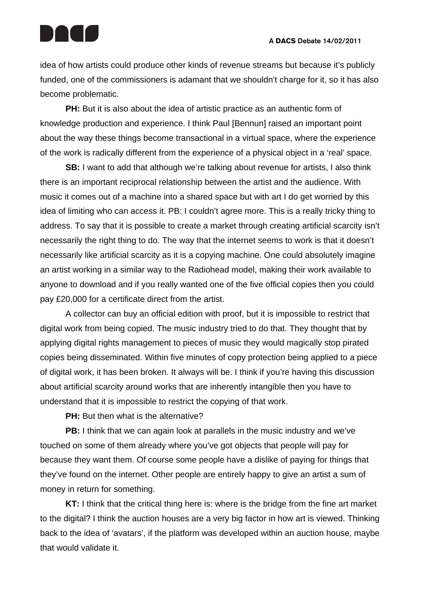

idea of how artists could produce other kinds of revenue streams but because it's publicly funded, one of the commissioners is adamant that we shouldn't charge for it, so it has also become problematic.

**PH:** But it is also about the idea of artistic practice as an authentic form of knowledge production and experience. I think Paul [Bennun] raised an important point about the way these things become transactional in a virtual space, where the experience of the work is radically different from the experience of a physical object in a 'real' space.

**SB:** I want to add that although we're talking about revenue for artists, I also think there is an important reciprocal relationship between the artist and the audience. With music it comes out of a machine into a shared space but with art I do get worried by this idea of limiting who can access it. PB: I couldn't agree more. This is a really tricky thing to address. To say that it is possible to create a market through creating artificial scarcity isn't necessarily the right thing to do. The way that the internet seems to work is that it doesn't necessarily like artificial scarcity as it is a copying machine. One could absolutely imagine an artist working in a similar way to the Radiohead model, making their work available to anyone to download and if you really wanted one of the five official copies then you could pay £20,000 for a certificate direct from the artist.

A collector can buy an official edition with proof, but it is impossible to restrict that digital work from being copied. The music industry tried to do that. They thought that by applying digital rights management to pieces of music they would magically stop pirated copies being disseminated. Within five minutes of copy protection being applied to a piece of digital work, it has been broken. It always will be. I think if you're having this discussion about artificial scarcity around works that are inherently intangible then you have to understand that it is impossible to restrict the copying of that work.

**PH:** But then what is the alternative?

**PB:** I think that we can again look at parallels in the music industry and we've touched on some of them already where you've got objects that people will pay for because they want them. Of course some people have a dislike of paying for things that they've found on the internet. Other people are entirely happy to give an artist a sum of money in return for something.

**KT:** I think that the critical thing here is: where is the bridge from the fine art market to the digital? I think the auction houses are a very big factor in how art is viewed. Thinking back to the idea of 'avatars', if the platform was developed within an auction house, maybe that would validate it.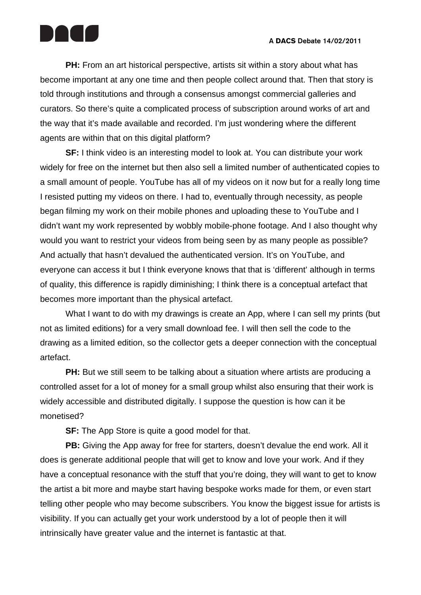

**PH:** From an art historical perspective, artists sit within a story about what has become important at any one time and then people collect around that. Then that story is told through institutions and through a consensus amongst commercial galleries and curators. So there's quite a complicated process of subscription around works of art and the way that it's made available and recorded. I'm just wondering where the different agents are within that on this digital platform?

**SF:** I think video is an interesting model to look at. You can distribute your work widely for free on the internet but then also sell a limited number of authenticated copies to a small amount of people. YouTube has all of my videos on it now but for a really long time I resisted putting my videos on there. I had to, eventually through necessity, as people began filming my work on their mobile phones and uploading these to YouTube and I didn't want my work represented by wobbly mobile-phone footage. And I also thought why would you want to restrict your videos from being seen by as many people as possible? And actually that hasn't devalued the authenticated version. It's on YouTube, and everyone can access it but I think everyone knows that that is 'different' although in terms of quality, this difference is rapidly diminishing; I think there is a conceptual artefact that becomes more important than the physical artefact.

What I want to do with my drawings is create an App, where I can sell my prints (but not as limited editions) for a very small download fee. I will then sell the code to the drawing as a limited edition, so the collector gets a deeper connection with the conceptual artefact.

**PH:** But we still seem to be talking about a situation where artists are producing a controlled asset for a lot of money for a small group whilst also ensuring that their work is widely accessible and distributed digitally. I suppose the question is how can it be monetised?

**SF:** The App Store is quite a good model for that.

**PB:** Giving the App away for free for starters, doesn't devalue the end work. All it does is generate additional people that will get to know and love your work. And if they have a conceptual resonance with the stuff that you're doing, they will want to get to know the artist a bit more and maybe start having bespoke works made for them, or even start telling other people who may become subscribers. You know the biggest issue for artists is visibility. If you can actually get your work understood by a lot of people then it will intrinsically have greater value and the internet is fantastic at that.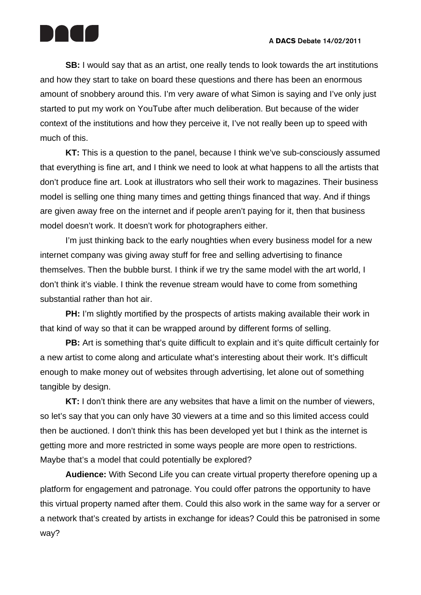

**SB:** I would say that as an artist, one really tends to look towards the art institutions and how they start to take on board these questions and there has been an enormous amount of snobbery around this. I'm very aware of what Simon is saying and I've only just started to put my work on YouTube after much deliberation. But because of the wider context of the institutions and how they perceive it, I've not really been up to speed with much of this.

**KT:** This is a question to the panel, because I think we've sub-consciously assumed that everything is fine art, and I think we need to look at what happens to all the artists that don't produce fine art. Look at illustrators who sell their work to magazines. Their business model is selling one thing many times and getting things financed that way. And if things are given away free on the internet and if people aren't paying for it, then that business model doesn't work. It doesn't work for photographers either.

I'm just thinking back to the early noughties when every business model for a new internet company was giving away stuff for free and selling advertising to finance themselves. Then the bubble burst. I think if we try the same model with the art world, I don't think it's viable. I think the revenue stream would have to come from something substantial rather than hot air.

**PH:** I'm slightly mortified by the prospects of artists making available their work in that kind of way so that it can be wrapped around by different forms of selling.

**PB:** Art is something that's quite difficult to explain and it's quite difficult certainly for a new artist to come along and articulate what's interesting about their work. It's difficult enough to make money out of websites through advertising, let alone out of something tangible by design.

**KT:** I don't think there are any websites that have a limit on the number of viewers, so let's say that you can only have 30 viewers at a time and so this limited access could then be auctioned. I don't think this has been developed yet but I think as the internet is getting more and more restricted in some ways people are more open to restrictions. Maybe that's a model that could potentially be explored?

**Audience:** With Second Life you can create virtual property therefore opening up a platform for engagement and patronage. You could offer patrons the opportunity to have this virtual property named after them. Could this also work in the same way for a server or a network that's created by artists in exchange for ideas? Could this be patronised in some way?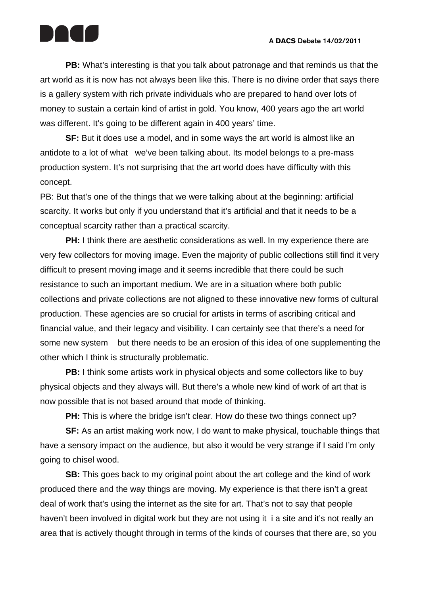

**PB:** What's interesting is that you talk about patronage and that reminds us that the art world as it is now has not always been like this. There is no divine order that says there is a gallery system with rich private individuals who are prepared to hand over lots of money to sustain a certain kind of artist in gold. You know, 400 years ago the art world was different. It's going to be different again in 400 years' time.

**SF:** But it does use a model, and in some ways the art world is almost like an antidote to a lot of what we've been talking about. Its model belongs to a pre-mass production system. It's not surprising that the art world does have difficulty with this concept.

PB: But that's one of the things that we were talking about at the beginning: artificial scarcity. It works but only if you understand that it's artificial and that it needs to be a conceptual scarcity rather than a practical scarcity.

**PH:** I think there are aesthetic considerations as well. In my experience there are very few collectors for moving image. Even the majority of public collections still find it very difficult to present moving image and it seems incredible that there could be such resistance to such an important medium. We are in a situation where both public collections and private collections are not aligned to these innovative new forms of cultural production. These agencies are so crucial for artists in terms of ascribing critical and financial value, and their legacy and visibility. I can certainly see that there's a need for some new system but there needs to be an erosion of this idea of one supplementing the other which I think is structurally problematic.

**PB:** I think some artists work in physical objects and some collectors like to buy physical objects and they always will. But there's a whole new kind of work of art that is now possible that is not based around that mode of thinking.

**PH:** This is where the bridge isn't clear. How do these two things connect up?

**SF:** As an artist making work now, I do want to make physical, touchable things that have a sensory impact on the audience, but also it would be very strange if I said I'm only going to chisel wood.

**SB:** This goes back to my original point about the art college and the kind of work produced there and the way things are moving. My experience is that there isn't a great deal of work that's using the internet as the site for art. That's not to say that people haven't been involved in digital work but they are not using it i a site and it's not really an area that is actively thought through in terms of the kinds of courses that there are, so you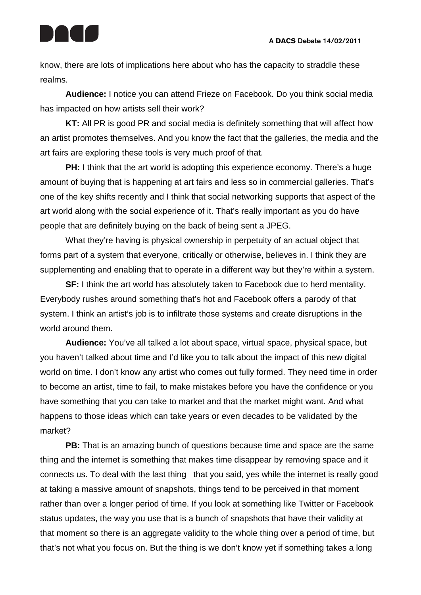

know, there are lots of implications here about who has the capacity to straddle these realms.

**Audience:** I notice you can attend Frieze on Facebook. Do you think social media has impacted on how artists sell their work?

**KT:** All PR is good PR and social media is definitely something that will affect how an artist promotes themselves. And you know the fact that the galleries, the media and the art fairs are exploring these tools is very much proof of that.

**PH:** I think that the art world is adopting this experience economy. There's a huge amount of buying that is happening at art fairs and less so in commercial galleries. That's one of the key shifts recently and I think that social networking supports that aspect of the art world along with the social experience of it. That's really important as you do have people that are definitely buying on the back of being sent a JPEG.

What they're having is physical ownership in perpetuity of an actual object that forms part of a system that everyone, critically or otherwise, believes in. I think they are supplementing and enabling that to operate in a different way but they're within a system.

**SF:** I think the art world has absolutely taken to Facebook due to herd mentality. Everybody rushes around something that's hot and Facebook offers a parody of that system. I think an artist's job is to infiltrate those systems and create disruptions in the world around them.

**Audience:** You've all talked a lot about space, virtual space, physical space, but you haven't talked about time and I'd like you to talk about the impact of this new digital world on time. I don't know any artist who comes out fully formed. They need time in order to become an artist, time to fail, to make mistakes before you have the confidence or you have something that you can take to market and that the market might want. And what happens to those ideas which can take years or even decades to be validated by the market?

**PB:** That is an amazing bunch of questions because time and space are the same thing and the internet is something that makes time disappear by removing space and it connects us. To deal with the last thing that you said, yes while the internet is really good at taking a massive amount of snapshots, things tend to be perceived in that moment rather than over a longer period of time. If you look at something like Twitter or Facebook status updates, the way you use that is a bunch of snapshots that have their validity at that moment so there is an aggregate validity to the whole thing over a period of time, but that's not what you focus on. But the thing is we don't know yet if something takes a long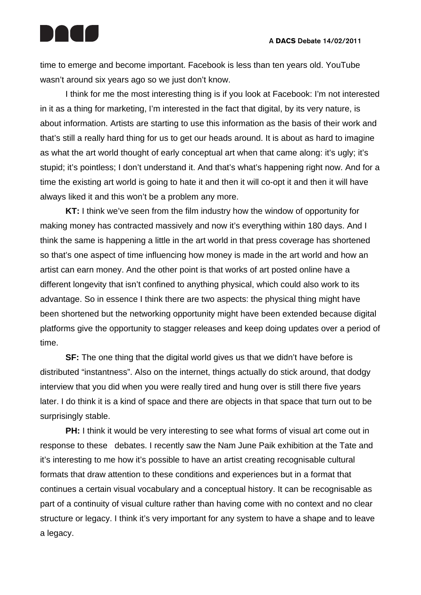

time to emerge and become important. Facebook is less than ten years old. YouTube wasn't around six years ago so we just don't know.

I think for me the most interesting thing is if you look at Facebook: I'm not interested in it as a thing for marketing, I'm interested in the fact that digital, by its very nature, is about information. Artists are starting to use this information as the basis of their work and that's still a really hard thing for us to get our heads around. It is about as hard to imagine as what the art world thought of early conceptual art when that came along: it's ugly; it's stupid; it's pointless; I don't understand it. And that's what's happening right now. And for a time the existing art world is going to hate it and then it will co-opt it and then it will have always liked it and this won't be a problem any more.

**KT:** I think we've seen from the film industry how the window of opportunity for making money has contracted massively and now it's everything within 180 days. And I think the same is happening a little in the art world in that press coverage has shortened so that's one aspect of time influencing how money is made in the art world and how an artist can earn money. And the other point is that works of art posted online have a different longevity that isn't confined to anything physical, which could also work to its advantage. So in essence I think there are two aspects: the physical thing might have been shortened but the networking opportunity might have been extended because digital platforms give the opportunity to stagger releases and keep doing updates over a period of time.

**SF:** The one thing that the digital world gives us that we didn't have before is distributed "instantness". Also on the internet, things actually do stick around, that dodgy interview that you did when you were really tired and hung over is still there five years later. I do think it is a kind of space and there are objects in that space that turn out to be surprisingly stable.

**PH:** I think it would be very interesting to see what forms of visual art come out in response to these debates. I recently saw the Nam June Paik exhibition at the Tate and it's interesting to me how it's possible to have an artist creating recognisable cultural formats that draw attention to these conditions and experiences but in a format that continues a certain visual vocabulary and a conceptual history. It can be recognisable as part of a continuity of visual culture rather than having come with no context and no clear structure or legacy. I think it's very important for any system to have a shape and to leave a legacy.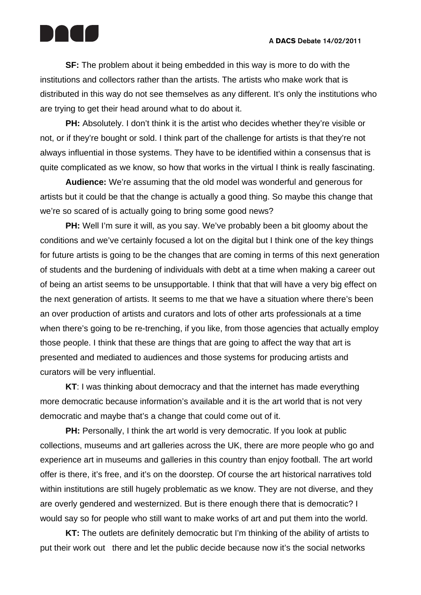**SF:** The problem about it being embedded in this way is more to do with the institutions and collectors rather than the artists. The artists who make work that is distributed in this way do not see themselves as any different. It's only the institutions who are trying to get their head around what to do about it.

**PH:** Absolutely. I don't think it is the artist who decides whether they're visible or not, or if they're bought or sold. I think part of the challenge for artists is that they're not always influential in those systems. They have to be identified within a consensus that is quite complicated as we know, so how that works in the virtual I think is really fascinating.

**Audience:** We're assuming that the old model was wonderful and generous for artists but it could be that the change is actually a good thing. So maybe this change that we're so scared of is actually going to bring some good news?

**PH:** Well I'm sure it will, as you say. We've probably been a bit gloomy about the conditions and we've certainly focused a lot on the digital but I think one of the key things for future artists is going to be the changes that are coming in terms of this next generation of students and the burdening of individuals with debt at a time when making a career out of being an artist seems to be unsupportable. I think that that will have a very big effect on the next generation of artists. It seems to me that we have a situation where there's been an over production of artists and curators and lots of other arts professionals at a time when there's going to be re-trenching, if you like, from those agencies that actually employ those people. I think that these are things that are going to affect the way that art is presented and mediated to audiences and those systems for producing artists and curators will be very influential.

**KT**: I was thinking about democracy and that the internet has made everything more democratic because information's available and it is the art world that is not very democratic and maybe that's a change that could come out of it.

**PH:** Personally, I think the art world is very democratic. If you look at public collections, museums and art galleries across the UK, there are more people who go and experience art in museums and galleries in this country than enjoy football. The art world offer is there, it's free, and it's on the doorstep. Of course the art historical narratives told within institutions are still hugely problematic as we know. They are not diverse, and they are overly gendered and westernized. But is there enough there that is democratic? I would say so for people who still want to make works of art and put them into the world.

**KT:** The outlets are definitely democratic but I'm thinking of the ability of artists to put their work out there and let the public decide because now it's the social networks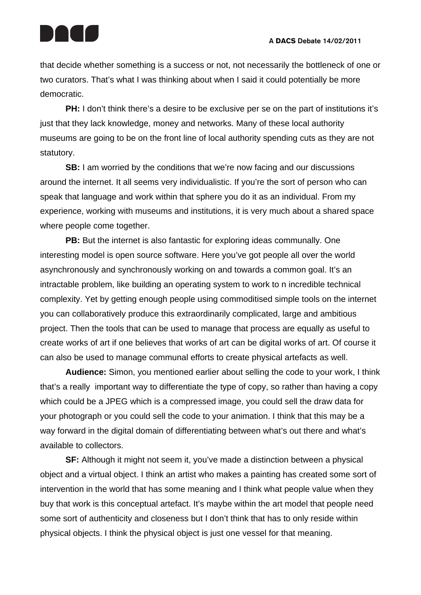

that decide whether something is a success or not, not necessarily the bottleneck of one or two curators. That's what I was thinking about when I said it could potentially be more democratic.

**PH:** I don't think there's a desire to be exclusive per se on the part of institutions it's just that they lack knowledge, money and networks. Many of these local authority museums are going to be on the front line of local authority spending cuts as they are not statutory.

**SB:** I am worried by the conditions that we're now facing and our discussions around the internet. It all seems very individualistic. If you're the sort of person who can speak that language and work within that sphere you do it as an individual. From my experience, working with museums and institutions, it is very much about a shared space where people come together.

**PB:** But the internet is also fantastic for exploring ideas communally. One interesting model is open source software. Here you've got people all over the world asynchronously and synchronously working on and towards a common goal. It's an intractable problem, like building an operating system to work to n incredible technical complexity. Yet by getting enough people using commoditised simple tools on the internet you can collaboratively produce this extraordinarily complicated, large and ambitious project. Then the tools that can be used to manage that process are equally as useful to create works of art if one believes that works of art can be digital works of art. Of course it can also be used to manage communal efforts to create physical artefacts as well.

**Audience:** Simon, you mentioned earlier about selling the code to your work, I think that's a really important way to differentiate the type of copy, so rather than having a copy which could be a JPEG which is a compressed image, you could sell the draw data for your photograph or you could sell the code to your animation. I think that this may be a way forward in the digital domain of differentiating between what's out there and what's available to collectors.

**SF:** Although it might not seem it, you've made a distinction between a physical object and a virtual object. I think an artist who makes a painting has created some sort of intervention in the world that has some meaning and I think what people value when they buy that work is this conceptual artefact. It's maybe within the art model that people need some sort of authenticity and closeness but I don't think that has to only reside within physical objects. I think the physical object is just one vessel for that meaning.